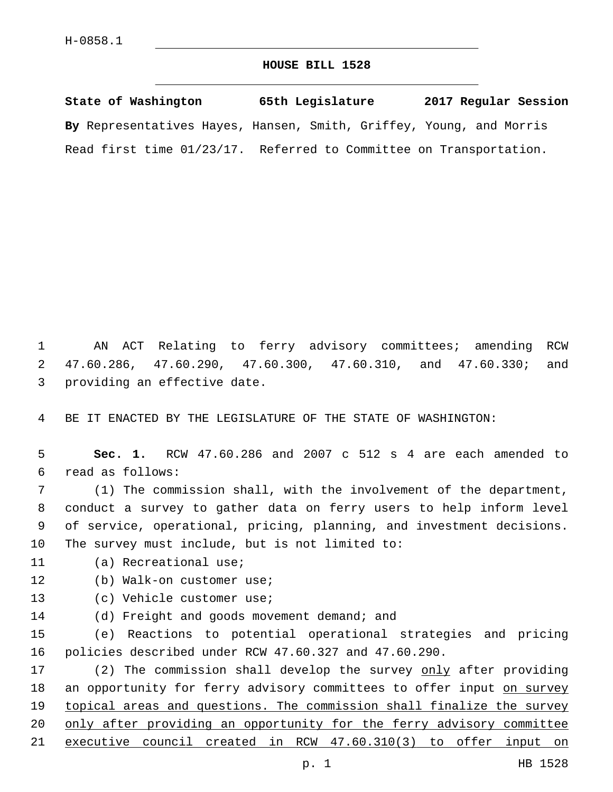## **HOUSE BILL 1528**

**State of Washington 65th Legislature 2017 Regular Session By** Representatives Hayes, Hansen, Smith, Griffey, Young, and Morris Read first time 01/23/17. Referred to Committee on Transportation.

1 AN ACT Relating to ferry advisory committees; amending RCW 2 47.60.286, 47.60.290, 47.60.300, 47.60.310, and 47.60.330; and 3 providing an effective date.

4 BE IT ENACTED BY THE LEGISLATURE OF THE STATE OF WASHINGTON:

5 **Sec. 1.** RCW 47.60.286 and 2007 c 512 s 4 are each amended to read as follows:6

 (1) The commission shall, with the involvement of the department, conduct a survey to gather data on ferry users to help inform level of service, operational, pricing, planning, and investment decisions. 10 The survey must include, but is not limited to:

11 (a) Recreational use;

- 12 (b) Walk-on customer use;
- 13 (c) Vehicle customer use;
- 14 (d) Freight and goods movement demand; and

15 (e) Reactions to potential operational strategies and pricing 16 policies described under RCW 47.60.327 and 47.60.290.

17 (2) The commission shall develop the survey only after providing 18 an opportunity for ferry advisory committees to offer input on survey 19 topical areas and questions. The commission shall finalize the survey 20 only after providing an opportunity for the ferry advisory committee 21 executive council created in RCW 47.60.310(3) to offer input on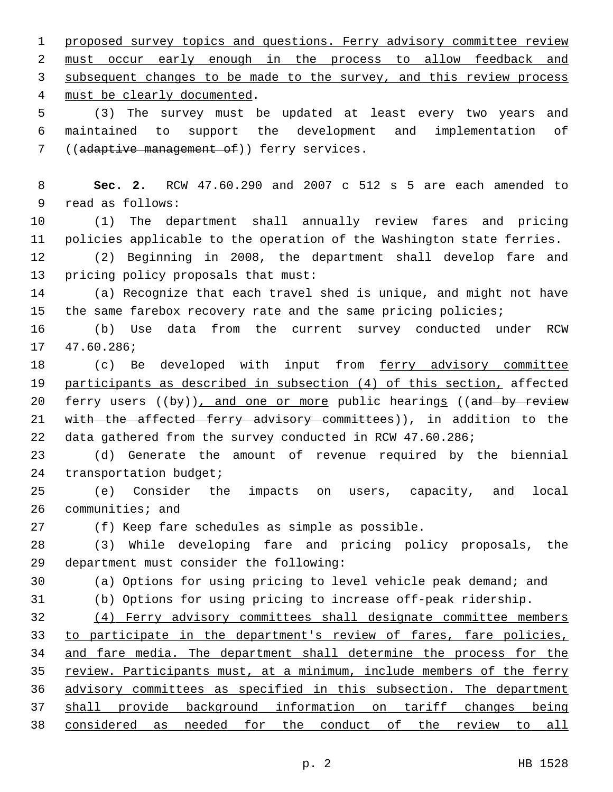1 proposed survey topics and questions. Ferry advisory committee review 2 must occur early enough in the process to allow feedback and 3 subsequent changes to be made to the survey, and this review process 4 must be clearly documented. 5 (3) The survey must be updated at least every two years and 6 maintained to support the development and implementation of 7 ((adaptive management of)) ferry services. 8 **Sec. 2.** RCW 47.60.290 and 2007 c 512 s 5 are each amended to 9 read as follows: 10 (1) The department shall annually review fares and pricing 11 policies applicable to the operation of the Washington state ferries. 12 (2) Beginning in 2008, the department shall develop fare and 13 pricing policy proposals that must: 14 (a) Recognize that each travel shed is unique, and might not have 15 the same farebox recovery rate and the same pricing policies; 16 (b) Use data from the current survey conducted under RCW 17 47.60.286; 18 (c) Be developed with input from ferry advisory committee 19 participants as described in subsection (4) of this section, affected 20 ferry users ((by)), and one or more public hearings ((and by review 21 with the affected ferry advisory committees)), in addition to the 22 data gathered from the survey conducted in RCW 47.60.286; 23 (d) Generate the amount of revenue required by the biennial 24 transportation budget; 25 (e) Consider the impacts on users, capacity, and local 26 communities; and 27 (f) Keep fare schedules as simple as possible. 28 (3) While developing fare and pricing policy proposals, the department must consider the following:29 30 (a) Options for using pricing to level vehicle peak demand; and 31 (b) Options for using pricing to increase off-peak ridership. 32 (4) Ferry advisory committees shall designate committee members 33 to participate in the department's review of fares, fare policies, 34 and fare media. The department shall determine the process for the 35 review. Participants must, at a minimum, include members of the ferry 36 advisory committees as specified in this subsection. The department 37 shall provide background information on tariff changes being 38 considered as needed for the conduct of the review to all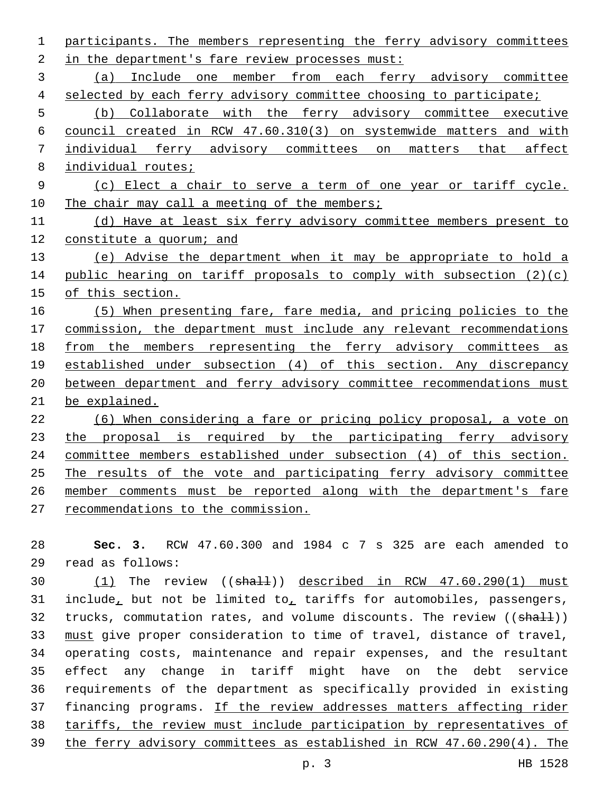participants. The members representing the ferry advisory committees 2 in the department's fare review processes must: (a) Include one member from each ferry advisory committee selected by each ferry advisory committee choosing to participate; (b) Collaborate with the ferry advisory committee executive council created in RCW 47.60.310(3) on systemwide matters and with individual ferry advisory committees on matters that affect 8 individual routes; (c) Elect a chair to serve a term of one year or tariff cycle. 10 The chair may call a meeting of the members; (d) Have at least six ferry advisory committee members present to 12 constitute a quorum; and (e) Advise the department when it may be appropriate to hold a public hearing on tariff proposals to comply with subsection (2)(c) of this section. (5) When presenting fare, fare media, and pricing policies to the commission, the department must include any relevant recommendations from the members representing the ferry advisory committees as established under subsection (4) of this section. Any discrepancy between department and ferry advisory committee recommendations must be explained. (6) When considering a fare or pricing policy proposal, a vote on 23 the proposal is required by the participating ferry advisory committee members established under subsection (4) of this section. The results of the vote and participating ferry advisory committee member comments must be reported along with the department's fare recommendations to the commission.

 **Sec. 3.** RCW 47.60.300 and 1984 c 7 s 325 are each amended to read as follows:29

30 (1) The review ((shall)) described in RCW 47.60.290(1) must include, but not be limited to, tariffs for automobiles, passengers, 32 trucks, commutation rates, and volume discounts. The review ((shall)) 33 must give proper consideration to time of travel, distance of travel, operating costs, maintenance and repair expenses, and the resultant effect any change in tariff might have on the debt service requirements of the department as specifically provided in existing financing programs. If the review addresses matters affecting rider tariffs, the review must include participation by representatives of the ferry advisory committees as established in RCW 47.60.290(4). The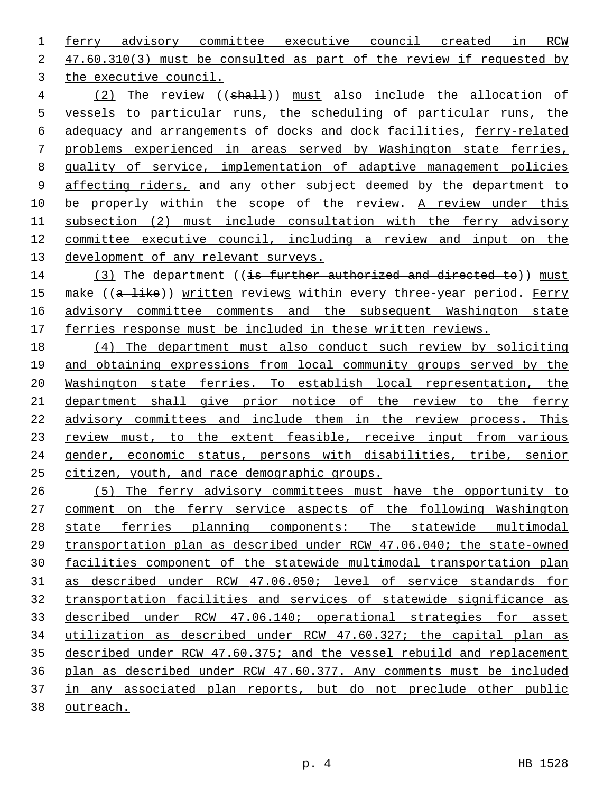ferry advisory committee executive council created in RCW 2 47.60.310(3) must be consulted as part of the review if requested by 3 the executive council.

4 (2) The review ((shall)) must also include the allocation of vessels to particular runs, the scheduling of particular runs, the adequacy and arrangements of docks and dock facilities, ferry-related problems experienced in areas served by Washington state ferries, 8 quality of service, implementation of adaptive management policies 9 affecting riders, and any other subject deemed by the department to 10 be properly within the scope of the review. A review under this subsection (2) must include consultation with the ferry advisory committee executive council, including a review and input on the development of any relevant surveys.

14 (3) The department ((is further authorized and directed to)) must 15 make ((a like)) written reviews within every three-year period. Ferry advisory committee comments and the subsequent Washington state 17 ferries response must be included in these written reviews.

 (4) The department must also conduct such review by soliciting and obtaining expressions from local community groups served by the Washington state ferries. To establish local representation, the department shall give prior notice of the review to the ferry advisory committees and include them in the review process. This 23 review must, to the extent feasible, receive input from various gender, economic status, persons with disabilities, tribe, senior citizen, youth, and race demographic groups.

 (5) The ferry advisory committees must have the opportunity to comment on the ferry service aspects of the following Washington state ferries planning components: The statewide multimodal transportation plan as described under RCW 47.06.040; the state-owned facilities component of the statewide multimodal transportation plan as described under RCW 47.06.050; level of service standards for transportation facilities and services of statewide significance as described under RCW 47.06.140; operational strategies for asset utilization as described under RCW 47.60.327; the capital plan as described under RCW 47.60.375; and the vessel rebuild and replacement plan as described under RCW 47.60.377. Any comments must be included in any associated plan reports, but do not preclude other public outreach.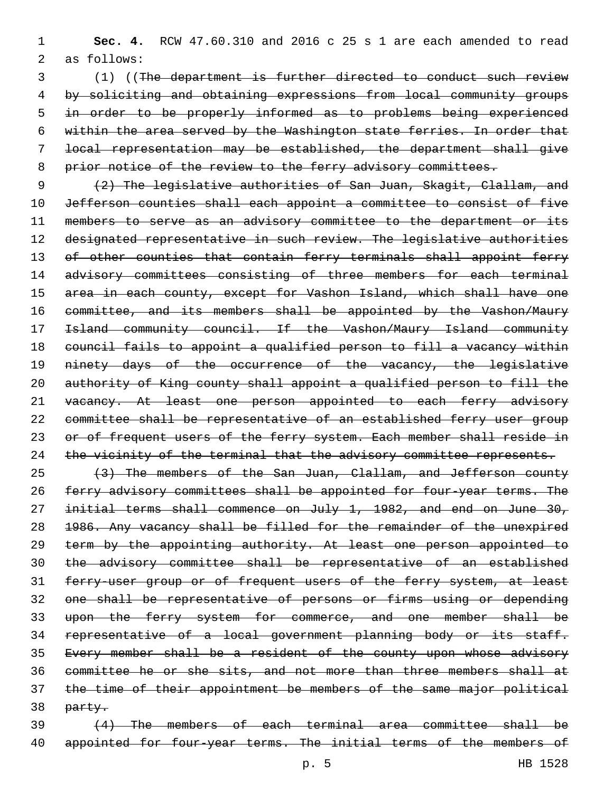(1) ((The department is further directed to conduct such review by soliciting and obtaining expressions from local community groups in order to be properly informed as to problems being experienced within the area served by the Washington state ferries. In order that local representation may be established, the department shall give 8 prior notice of the review to the ferry advisory committees.

9 (2) The legislative authorities of San Juan, Skagit, Clallam, and 10 Jefferson counties shall each appoint a committee to consist of five 11 members to serve as an advisory committee to the department or its 12 designated representative in such review. The legislative authorities 13 of other counties that contain ferry terminals shall appoint ferry 14 advisory committees consisting of three members for each terminal 15 area in each county, except for Vashon Island, which shall have one 16 committee, and its members shall be appointed by the Vashon/Maury 17 **Island community council. If the Vashon/Maury Island community** 18 council fails to appoint a qualified person to fill a vacancy within 19 ninety days of the occurrence of the vacancy, the legislative 20 authority of King county shall appoint a qualified person to fill the 21 vacancy. At least one person appointed to each ferry advisory 22 committee shall be representative of an established ferry user group 23 or of frequent users of the ferry system. Each member shall reside in 24 the vicinity of the terminal that the advisory committee represents.

25 (3) The members of the San Juan, Clallam, and Jefferson county 26 ferry advisory committees shall be appointed for four-year terms. The 27 initial terms shall commence on July 1, 1982, and end on June 30, 28 1986. Any vacancy shall be filled for the remainder of the unexpired 29 term by the appointing authority. At least one person appointed to 30 the advisory committee shall be representative of an established 31 ferry-user group or of frequent users of the ferry system, at least 32 one shall be representative of persons or firms using or depending 33 upon the ferry system for commerce, and one member shall be 34 representative of a local government planning body or its staff. 35 Every member shall be a resident of the county upon whose advisory 36 committee he or she sits, and not more than three members shall at 37 the time of their appointment be members of the same major political 38 party.

39 (4) The members of each terminal area committee shall be 40 appointed for four-year terms. The initial terms of the members of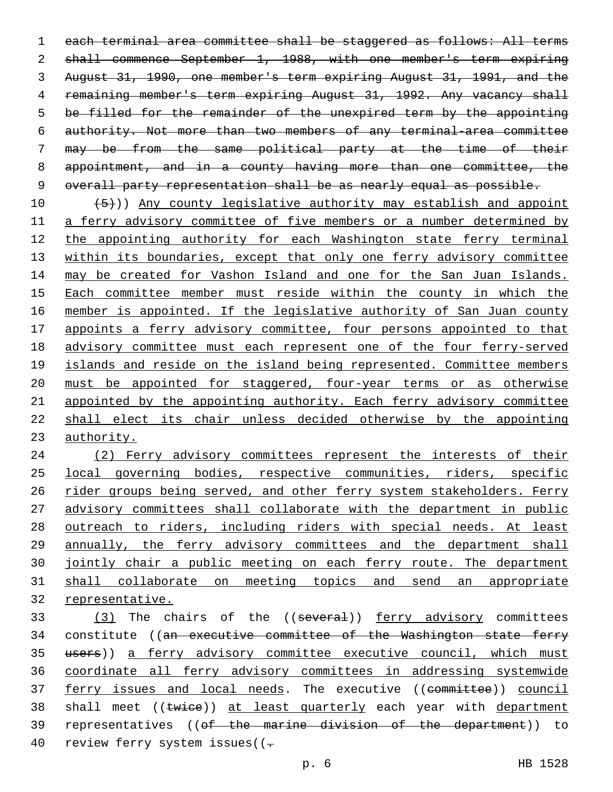1 each terminal area committee shall be staggered as follows: All terms 2 shall commence September 1, 1988, with one member's term expiring August 31, 1990, one member's term expiring August 31, 1991, and the 4 remaining member's term expiring August 31, 1992. Any vacancy shall be filled for the remainder of the unexpired term by the appointing authority. Not more than two members of any terminal-area committee may be from the same political party at the time of their appointment, and in a county having more than one committee, the 9 overall party representation shall be as nearly equal as possible.

 $(5)$ )) Any county legislative authority may establish and appoint a ferry advisory committee of five members or a number determined by 12 the appointing authority for each Washington state ferry terminal within its boundaries, except that only one ferry advisory committee 14 may be created for Vashon Island and one for the San Juan Islands. Each committee member must reside within the county in which the member is appointed. If the legislative authority of San Juan county appoints a ferry advisory committee, four persons appointed to that advisory committee must each represent one of the four ferry-served 19 islands and reside on the island being represented. Committee members must be appointed for staggered, four-year terms or as otherwise appointed by the appointing authority. Each ferry advisory committee shall elect its chair unless decided otherwise by the appointing authority.

 (2) Ferry advisory committees represent the interests of their local governing bodies, respective communities, riders, specific 26 rider groups being served, and other ferry system stakeholders. Ferry advisory committees shall collaborate with the department in public outreach to riders, including riders with special needs. At least annually, the ferry advisory committees and the department shall jointly chair a public meeting on each ferry route. The department shall collaborate on meeting topics and send an appropriate representative.

33 (3) The chairs of the ((several)) ferry advisory committees 34 constitute ((an executive committee of the Washington state ferry 35 users)) a ferry advisory committee executive council, which must coordinate all ferry advisory committees in addressing systemwide 37 ferry issues and local needs. The executive ((committee)) council 38 shall meet ((twice)) at least quarterly each year with department representatives ((of the marine division of the department)) to 40 review ferry system issues((-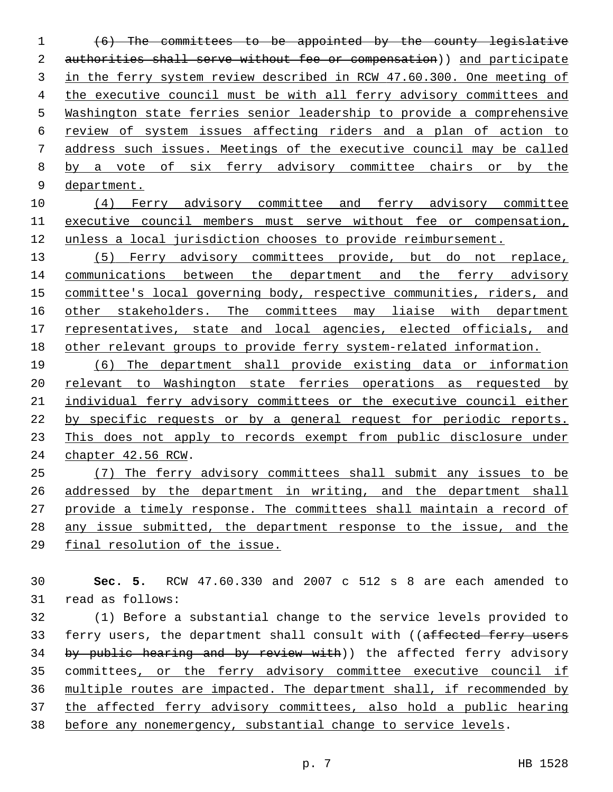(6) The committees to be appointed by the county legislative 2 authorities shall serve without fee or compensation)) and participate in the ferry system review described in RCW 47.60.300. One meeting of the executive council must be with all ferry advisory committees and Washington state ferries senior leadership to provide a comprehensive review of system issues affecting riders and a plan of action to address such issues. Meetings of the executive council may be called by a vote of six ferry advisory committee chairs or by the department.

 (4) Ferry advisory committee and ferry advisory committee executive council members must serve without fee or compensation, unless a local jurisdiction chooses to provide reimbursement.

 (5) Ferry advisory committees provide, but do not replace, 14 communications between the department and the ferry advisory committee's local governing body, respective communities, riders, and 16 other stakeholders. The committees may liaise with department 17 representatives, state and local agencies, elected officials, and other relevant groups to provide ferry system-related information.

 (6) The department shall provide existing data or information relevant to Washington state ferries operations as requested by 21 individual ferry advisory committees or the executive council either by specific requests or by a general request for periodic reports. This does not apply to records exempt from public disclosure under 24 chapter 42.56 RCW.

 (7) The ferry advisory committees shall submit any issues to be addressed by the department in writing, and the department shall provide a timely response. The committees shall maintain a record of any issue submitted, the department response to the issue, and the final resolution of the issue.

 **Sec. 5.** RCW 47.60.330 and 2007 c 512 s 8 are each amended to 31 read as follows:

 (1) Before a substantial change to the service levels provided to 33 ferry users, the department shall consult with ((affected ferry users 34 by public hearing and by review with)) the affected ferry advisory committees, or the ferry advisory committee executive council if multiple routes are impacted. The department shall, if recommended by the affected ferry advisory committees, also hold a public hearing before any nonemergency, substantial change to service levels.